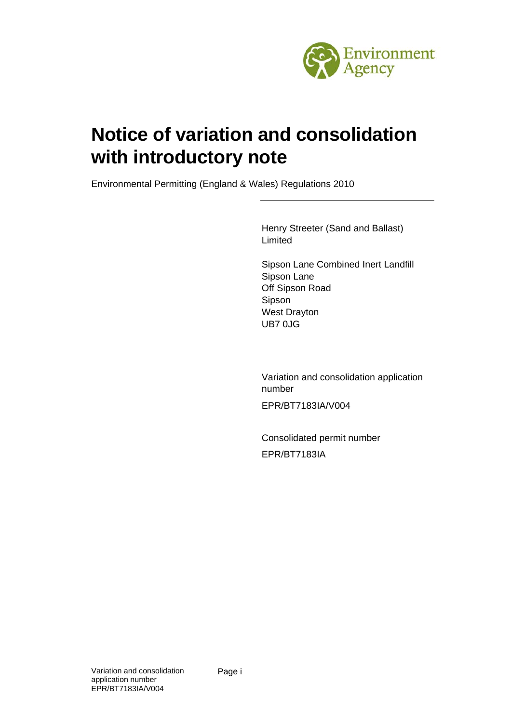

# **Notice of variation and consolidation with introductory note**

Environmental Permitting (England & Wales) Regulations 2010

Henry Streeter (Sand and Ballast) Limited

Sipson Lane Combined Inert Landfill Sipson Lane Off Sipson Road Sipson West Drayton UB7 0JG

Variation and consolidation application number EPR/BT7183IA/V004

Consolidated permit number EPR/BT7183IA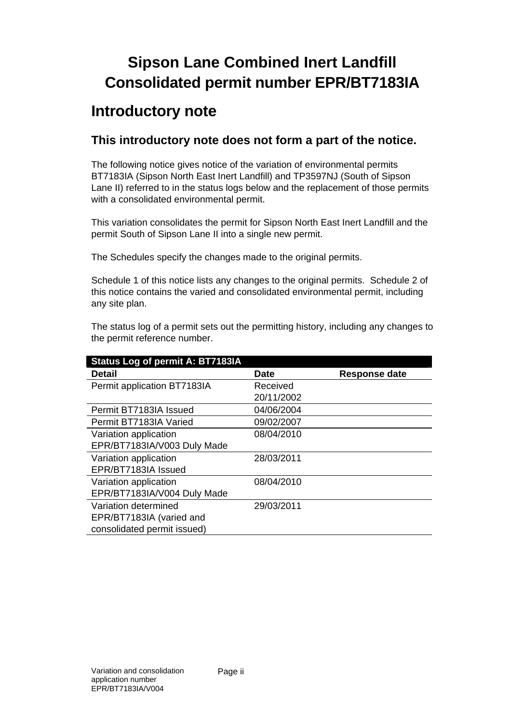# **Sipson Lane Combined Inert Landfill Consolidated permit number EPR/BT7183IA**

## **Introductory note**

### **This introductory note does not form a part of the notice.**

The following notice gives notice of the variation of environmental permits BT7183IA (Sipson North East Inert Landfill) and TP3597NJ (South of Sipson Lane II) referred to in the status logs below and the replacement of those permits with a consolidated environmental permit.

This variation consolidates the permit for Sipson North East Inert Landfill and the permit South of Sipson Lane II into a single new permit.

The Schedules specify the changes made to the original permits.

Schedule 1 of this notice lists any changes to the original permits. Schedule 2 of this notice contains the varied and consolidated environmental permit, including any site plan.

The status log of a permit sets out the permitting history, including any changes to the permit reference number.

| <b>Status Log of permit A: BT7183IA</b> |             |                      |  |  |
|-----------------------------------------|-------------|----------------------|--|--|
| <b>Detail</b>                           | <b>Date</b> | <b>Response date</b> |  |  |
| Permit application BT7183IA             | Received    |                      |  |  |
|                                         | 20/11/2002  |                      |  |  |
| Permit BT7183IA Issued                  | 04/06/2004  |                      |  |  |
| Permit BT7183IA Varied                  | 09/02/2007  |                      |  |  |
| Variation application                   | 08/04/2010  |                      |  |  |
| EPR/BT7183IA/V003 Duly Made             |             |                      |  |  |
| Variation application                   | 28/03/2011  |                      |  |  |
| EPR/BT7183IA Issued                     |             |                      |  |  |
| Variation application                   | 08/04/2010  |                      |  |  |
| EPR/BT7183IA/V004 Duly Made             |             |                      |  |  |
| Variation determined                    | 29/03/2011  |                      |  |  |
| EPR/BT7183IA (varied and                |             |                      |  |  |
| consolidated permit issued)             |             |                      |  |  |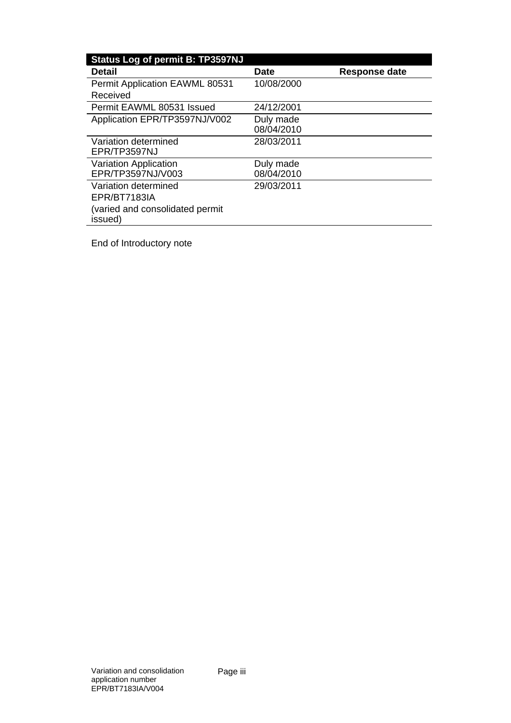| <b>Status Log of permit B: TP3597NJ</b>    |                          |               |
|--------------------------------------------|--------------------------|---------------|
| <b>Detail</b>                              | <b>Date</b>              | Response date |
| <b>Permit Application EAWML 80531</b>      | 10/08/2000               |               |
| Received                                   |                          |               |
| Permit EAWML 80531 Issued                  | 24/12/2001               |               |
| Application EPR/TP3597NJ/V002              | Duly made                |               |
|                                            |                          |               |
| Variation determined                       | 28/03/2011               |               |
|                                            |                          |               |
| <b>Variation Application</b>               | Duly made                |               |
|                                            |                          |               |
| Variation determined                       | 29/03/2011               |               |
| EPR/BT7183IA                               |                          |               |
| (varied and consolidated permit<br>issued) |                          |               |
| EPR/TP3597NJ<br>EPR/TP3597NJ/V003          | 08/04/2010<br>08/04/2010 |               |

End of Introductory note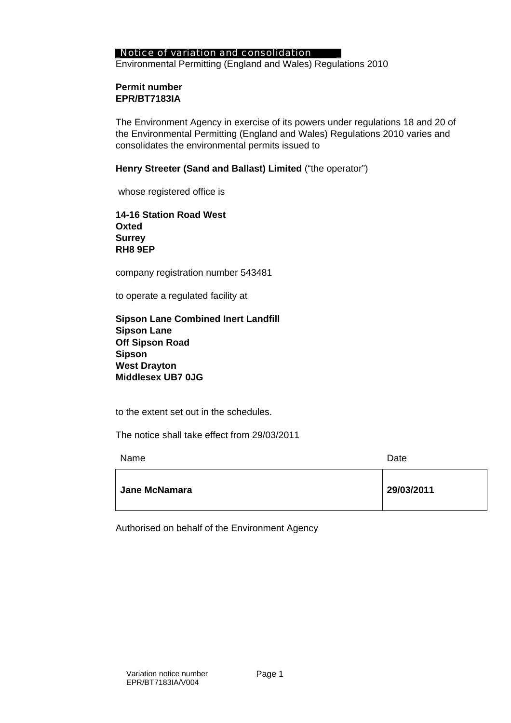#### Notice of variation and consolidation

Environmental Permitting (England and Wales) Regulations 2010

#### **Permit number EPR/BT7183IA**

The Environment Agency in exercise of its powers under regulations 18 and 20 of the Environmental Permitting (England and Wales) Regulations 2010 varies and consolidates the environmental permits issued to

#### **Henry Streeter (Sand and Ballast) Limited** ("the operator")

whose registered office is

**14-16 Station Road West Oxted Surrey RH8 9EP** 

company registration number 543481

to operate a regulated facility at

| <b>Sipson Lane Combined Inert Landfill</b> |  |
|--------------------------------------------|--|
| <b>Sipson Lane</b>                         |  |
| <b>Off Sipson Road</b>                     |  |
| Sipson                                     |  |
| <b>West Drayton</b>                        |  |
| Middlesex UB7 0JG                          |  |

to the extent set out in the schedules.

The notice shall take effect from 29/03/2011

| Name                 | Date       |
|----------------------|------------|
| <b>Jane McNamara</b> | 29/03/2011 |

Authorised on behalf of the Environment Agency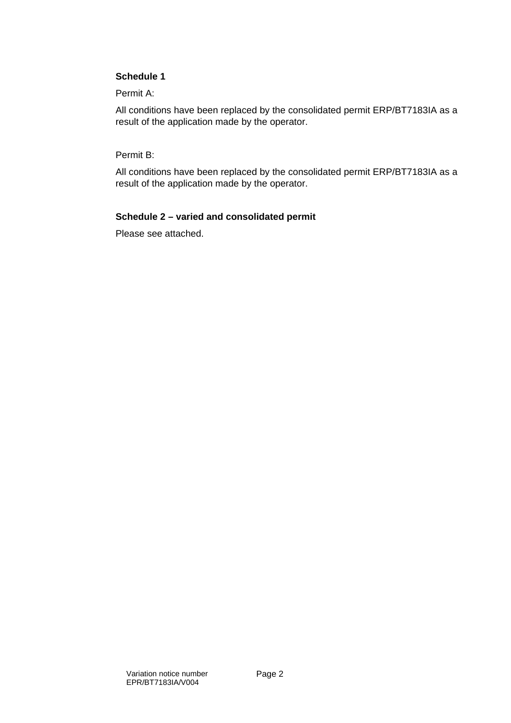#### **Schedule 1**

Permit A:

All conditions have been replaced by the consolidated permit ERP/BT7183IA as a result of the application made by the operator.

Permit B:

All conditions have been replaced by the consolidated permit ERP/BT7183IA as a result of the application made by the operator.

#### **Schedule 2 – varied and consolidated permit**

Please see attached.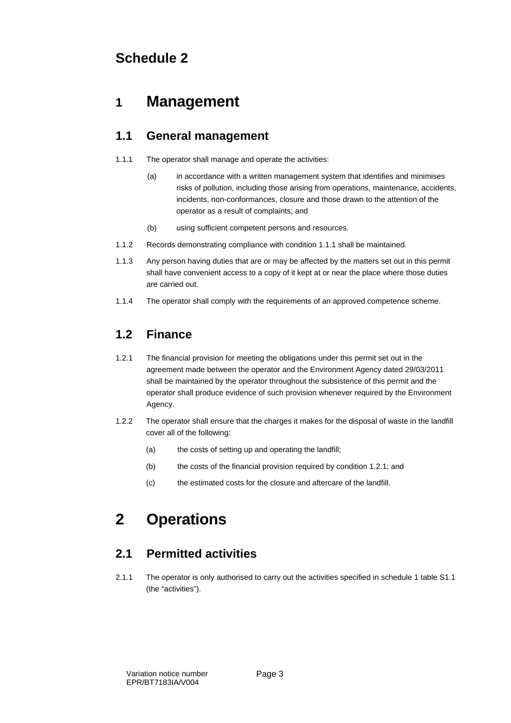## **Schedule 2**

## **1 Management**

### **1.1 General management**

- 1.1.1 The operator shall manage and operate the activities:
	- (a) in accordance with a written management system that identifies and minimises risks of pollution, including those arising from operations, maintenance, accidents, incidents, non-conformances, closure and those drawn to the attention of the operator as a result of complaints; and
	- (b) using sufficient competent persons and resources.
- 1.1.2 Records demonstrating compliance with condition 1.1.1 shall be maintained.
- 1.1.3 Any person having duties that are or may be affected by the matters set out in this permit shall have convenient access to a copy of it kept at or near the place where those duties are carried out.
- 1.1.4 The operator shall comply with the requirements of an approved competence scheme.

### **1.2 Finance**

- 1.2.1 The financial provision for meeting the obligations under this permit set out in the agreement made between the operator and the Environment Agency dated 29/03/2011 shall be maintained by the operator throughout the subsistence of this permit and the operator shall produce evidence of such provision whenever required by the Environment Agency.
- 1.2.2 The operator shall ensure that the charges it makes for the disposal of waste in the landfill cover all of the following:
	- (a) the costs of setting up and operating the landfill;
	- (b) the costs of the financial provision required by condition 1.2.1; and
	- (c) the estimated costs for the closure and aftercare of the landfill.

## **2 Operations**

### **2.1 Permitted activities**

2.1.1 The operator is only authorised to carry out the activities specified in schedule 1 table S1.1 (the "activities").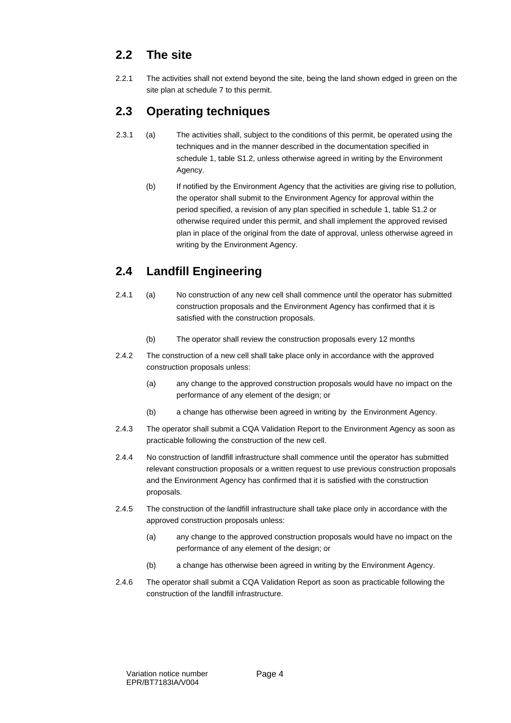### **2.2 The site**

2.2.1 The activities shall not extend beyond the site, being the land shown edged in green on the site plan at schedule 7 to this permit.

### **2.3 Operating techniques**

- 2.3.1 (a) The activities shall, subject to the conditions of this permit, be operated using the techniques and in the manner described in the documentation specified in schedule 1, table S1.2, unless otherwise agreed in writing by the Environment Agency.
	- (b) If notified by the Environment Agency that the activities are giving rise to pollution, the operator shall submit to the Environment Agency for approval within the period specified, a revision of any plan specified in schedule 1, table S1.2 or otherwise required under this permit, and shall implement the approved revised plan in place of the original from the date of approval, unless otherwise agreed in writing by the Environment Agency.

## **2.4 Landfill Engineering**

- 2.4.1 (a) No construction of any new cell shall commence until the operator has submitted construction proposals and the Environment Agency has confirmed that it is satisfied with the construction proposals.
	- (b) The operator shall review the construction proposals every 12 months
- 2.4.2 The construction of a new cell shall take place only in accordance with the approved construction proposals unless:
	- (a) any change to the approved construction proposals would have no impact on the performance of any element of the design; or
	- (b) a change has otherwise been agreed in writing by the Environment Agency.
- 2.4.3 The operator shall submit a CQA Validation Report to the Environment Agency as soon as practicable following the construction of the new cell.
- 2.4.4 No construction of landfill infrastructure shall commence until the operator has submitted relevant construction proposals or a written request to use previous construction proposals and the Environment Agency has confirmed that it is satisfied with the construction proposals.
- 2.4.5 The construction of the landfill infrastructure shall take place only in accordance with the approved construction proposals unless:
	- (a) any change to the approved construction proposals would have no impact on the performance of any element of the design; or
	- (b) a change has otherwise been agreed in writing by the Environment Agency.
- 2.4.6 The operator shall submit a CQA Validation Report as soon as practicable following the construction of the landfill infrastructure.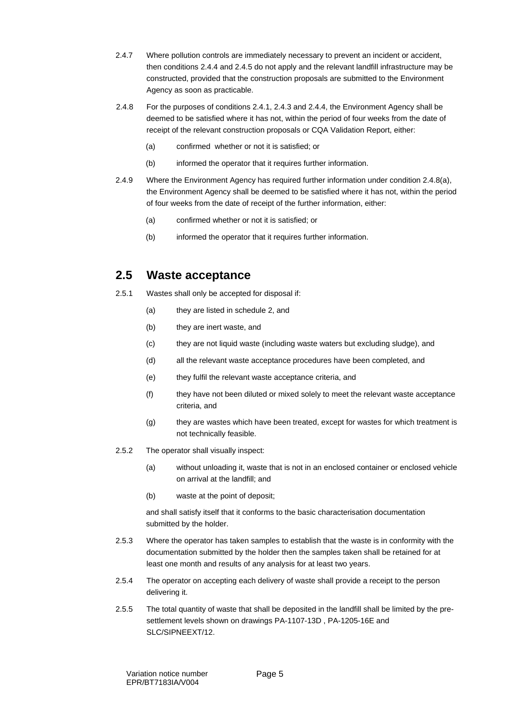- 2.4.7 Where pollution controls are immediately necessary to prevent an incident or accident, then conditions 2.4.4 and 2.4.5 do not apply and the relevant landfill infrastructure may be constructed, provided that the construction proposals are submitted to the Environment Agency as soon as practicable.
- 2.4.8 For the purposes of conditions 2.4.1, 2.4.3 and 2.4.4, the Environment Agency shall be deemed to be satisfied where it has not, within the period of four weeks from the date of receipt of the relevant construction proposals or CQA Validation Report, either:
	- (a) confirmed whether or not it is satisfied; or
	- (b) informed the operator that it requires further information.
- 2.4.9 Where the Environment Agency has required further information under condition 2.4.8(a), the Environment Agency shall be deemed to be satisfied where it has not, within the period of four weeks from the date of receipt of the further information, either:
	- (a) confirmed whether or not it is satisfied; or
	- (b) informed the operator that it requires further information.

### **2.5 Waste acceptance**

- 2.5.1 Wastes shall only be accepted for disposal if:
	- (a) they are listed in schedule 2, and
	- (b) they are inert waste, and
	- (c) they are not liquid waste (including waste waters but excluding sludge), and
	- (d) all the relevant waste acceptance procedures have been completed, and
	- (e) they fulfil the relevant waste acceptance criteria, and
	- (f) they have not been diluted or mixed solely to meet the relevant waste acceptance criteria, and
	- (g) they are wastes which have been treated, except for wastes for which treatment is not technically feasible.
- 2.5.2 The operator shall visually inspect:
	- (a) without unloading it, waste that is not in an enclosed container or enclosed vehicle on arrival at the landfill; and
	- (b) waste at the point of deposit;

and shall satisfy itself that it conforms to the basic characterisation documentation submitted by the holder.

- 2.5.3 Where the operator has taken samples to establish that the waste is in conformity with the documentation submitted by the holder then the samples taken shall be retained for at least one month and results of any analysis for at least two years.
- 2.5.4 The operator on accepting each delivery of waste shall provide a receipt to the person delivering it.
- 2.5.5 The total quantity of waste that shall be deposited in the landfill shall be limited by the presettlement levels shown on drawings PA-1107-13D , PA-1205-16E and SLC/SIPNEEXT/12.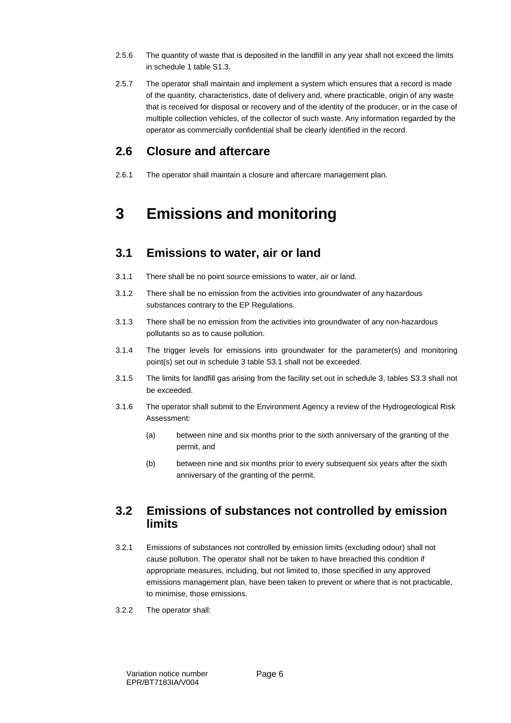- 2.5.6 The quantity of waste that is deposited in the landfill in any year shall not exceed the limits in schedule 1 table S1.3.
- 2.5.7 The operator shall maintain and implement a system which ensures that a record is made of the quantity, characteristics, date of delivery and, where practicable, origin of any waste that is received for disposal or recovery and of the identity of the producer, or in the case of multiple collection vehicles, of the collector of such waste. Any information regarded by the operator as commercially confidential shall be clearly identified in the record.

#### **2.6 Closure and aftercare**

2.6.1 The operator shall maintain a closure and aftercare management plan.

## **3 Emissions and monitoring**

#### **3.1 Emissions to water, air or land**

- 3.1.1 There shall be no point source emissions to water, air or land.
- 3.1.2 There shall be no emission from the activities into groundwater of any hazardous substances contrary to the EP Regulations.
- 3.1.3 There shall be no emission from the activities into groundwater of any non-hazardous pollutants so as to cause pollution.
- 3.1.4 The trigger levels for emissions into groundwater for the parameter(s) and monitoring point(s) set out in schedule 3 table S3.1 shall not be exceeded.
- 3.1.5 The limits for landfill gas arising from the facility set out in schedule 3, tables S3.3 shall not be exceeded.
- 3.1.6 The operator shall submit to the Environment Agency a review of the Hydrogeological Risk Assessment:
	- (a) between nine and six months prior to the sixth anniversary of the granting of the permit, and
	- (b) between nine and six months prior to every subsequent six years after the sixth anniversary of the granting of the permit.

#### **3.2 Emissions of substances not controlled by emission limits**

- 3.2.1 Emissions of substances not controlled by emission limits (excluding odour) shall not cause pollution. The operator shall not be taken to have breached this condition if appropriate measures, including, but not limited to, those specified in any approved emissions management plan, have been taken to prevent or where that is not practicable, to minimise, those emissions.
- 3.2.2 The operator shall: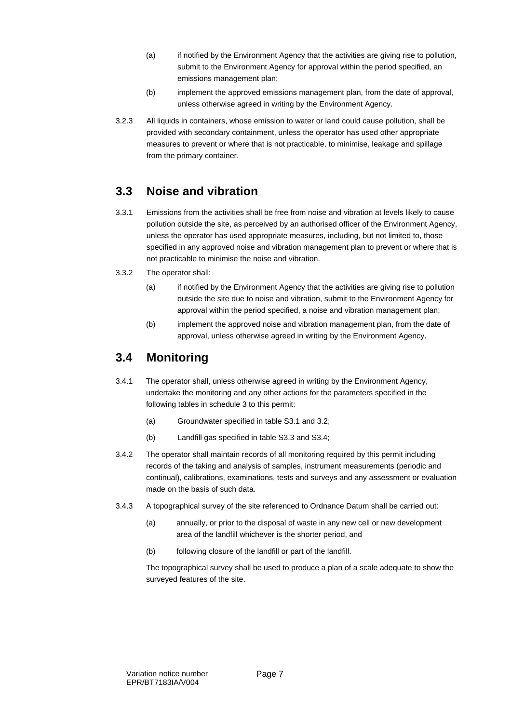- (a) if notified by the Environment Agency that the activities are giving rise to pollution, submit to the Environment Agency for approval within the period specified, an emissions management plan;
- (b) implement the approved emissions management plan, from the date of approval, unless otherwise agreed in writing by the Environment Agency.
- 3.2.3 All liquids in containers, whose emission to water or land could cause pollution, shall be provided with secondary containment, unless the operator has used other appropriate measures to prevent or where that is not practicable, to minimise, leakage and spillage from the primary container.

#### **3.3 Noise and vibration**

- 3.3.1 Emissions from the activities shall be free from noise and vibration at levels likely to cause pollution outside the site, as perceived by an authorised officer of the Environment Agency, unless the operator has used appropriate measures, including, but not limited to, those specified in any approved noise and vibration management plan to prevent or where that is not practicable to minimise the noise and vibration.
- 3.3.2 The operator shall:
	- (a) if notified by the Environment Agency that the activities are giving rise to pollution outside the site due to noise and vibration, submit to the Environment Agency for approval within the period specified, a noise and vibration management plan;
	- (b) implement the approved noise and vibration management plan, from the date of approval, unless otherwise agreed in writing by the Environment Agency.

#### **3.4 Monitoring**

- 3.4.1 The operator shall, unless otherwise agreed in writing by the Environment Agency, undertake the monitoring and any other actions for the parameters specified in the following tables in schedule 3 to this permit:
	- (a) Groundwater specified in table S3.1 and 3.2;
	- (b) Landfill gas specified in table S3.3 and S3.4;
- 3.4.2 The operator shall maintain records of all monitoring required by this permit including records of the taking and analysis of samples, instrument measurements (periodic and continual), calibrations, examinations, tests and surveys and any assessment or evaluation made on the basis of such data.
- 3.4.3 A topographical survey of the site referenced to Ordnance Datum shall be carried out:
	- (a) annually, or prior to the disposal of waste in any new cell or new development area of the landfill whichever is the shorter period, and
	- (b) following closure of the landfill or part of the landfill.

The topographical survey shall be used to produce a plan of a scale adequate to show the surveyed features of the site.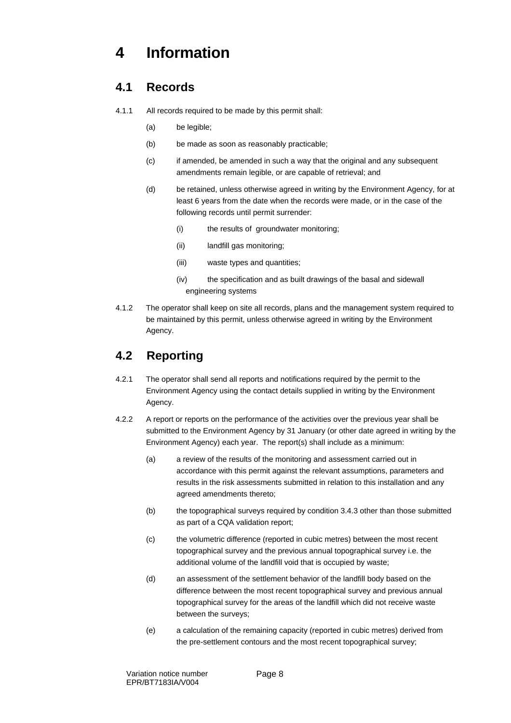## **4 Information**

#### **4.1 Records**

- 4.1.1 All records required to be made by this permit shall:
	- (a) be legible;
	- (b) be made as soon as reasonably practicable;
	- (c) if amended, be amended in such a way that the original and any subsequent amendments remain legible, or are capable of retrieval; and
	- (d) be retained, unless otherwise agreed in writing by the Environment Agency, for at least 6 years from the date when the records were made, or in the case of the following records until permit surrender:
		- (i) the results of groundwater monitoring;
		- (ii) landfill gas monitoring;
		- (iii) waste types and quantities;
		- (iv) the specification and as built drawings of the basal and sidewall engineering systems
- 4.1.2 The operator shall keep on site all records, plans and the management system required to be maintained by this permit, unless otherwise agreed in writing by the Environment Agency.

### **4.2 Reporting**

- 4.2.1 The operator shall send all reports and notifications required by the permit to the Environment Agency using the contact details supplied in writing by the Environment Agency.
- 4.2.2 A report or reports on the performance of the activities over the previous year shall be submitted to the Environment Agency by 31 January (or other date agreed in writing by the Environment Agency) each year. The report(s) shall include as a minimum:
	- (a) a review of the results of the monitoring and assessment carried out in accordance with this permit against the relevant assumptions, parameters and results in the risk assessments submitted in relation to this installation and any agreed amendments thereto;
	- (b) the topographical surveys required by condition 3.4.3 other than those submitted as part of a CQA validation report;
	- (c) the volumetric difference (reported in cubic metres) between the most recent topographical survey and the previous annual topographical survey i.e. the additional volume of the landfill void that is occupied by waste;
	- (d) an assessment of the settlement behavior of the landfill body based on the difference between the most recent topographical survey and previous annual topographical survey for the areas of the landfill which did not receive waste between the surveys;
	- (e) a calculation of the remaining capacity (reported in cubic metres) derived from the pre-settlement contours and the most recent topographical survey;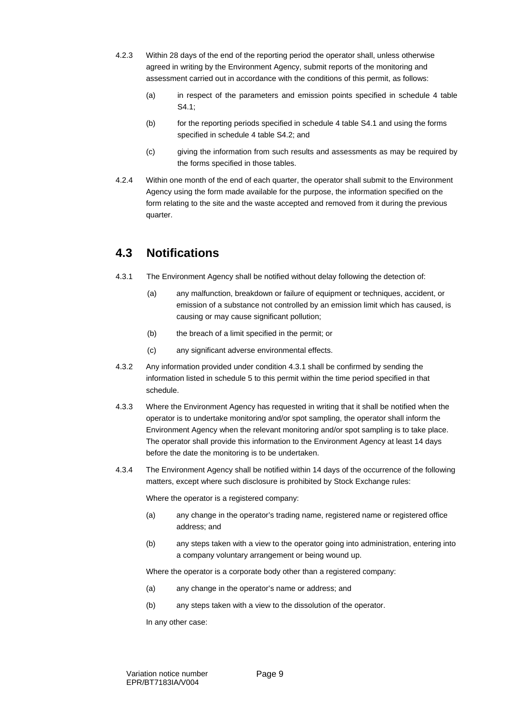- 4.2.3 Within 28 days of the end of the reporting period the operator shall, unless otherwise agreed in writing by the Environment Agency, submit reports of the monitoring and assessment carried out in accordance with the conditions of this permit, as follows:
	- (a) in respect of the parameters and emission points specified in schedule 4 table S4.1;
	- (b) for the reporting periods specified in schedule 4 table S4.1 and using the forms specified in schedule 4 table S4.2; and
	- (c) giving the information from such results and assessments as may be required by the forms specified in those tables.
- 4.2.4 Within one month of the end of each quarter, the operator shall submit to the Environment Agency using the form made available for the purpose, the information specified on the form relating to the site and the waste accepted and removed from it during the previous quarter.

#### **4.3 Notifications**

- 4.3.1 The Environment Agency shall be notified without delay following the detection of:
	- (a) any malfunction, breakdown or failure of equipment or techniques, accident, or emission of a substance not controlled by an emission limit which has caused, is causing or may cause significant pollution;
	- (b) the breach of a limit specified in the permit; or
	- (c) any significant adverse environmental effects.
- 4.3.2 Any information provided under condition 4.3.1 shall be confirmed by sending the information listed in schedule 5 to this permit within the time period specified in that schedule.
- 4.3.3 Where the Environment Agency has requested in writing that it shall be notified when the operator is to undertake monitoring and/or spot sampling, the operator shall inform the Environment Agency when the relevant monitoring and/or spot sampling is to take place. The operator shall provide this information to the Environment Agency at least 14 days before the date the monitoring is to be undertaken.
- 4.3.4 The Environment Agency shall be notified within 14 days of the occurrence of the following matters, except where such disclosure is prohibited by Stock Exchange rules:

Where the operator is a registered company:

- (a) any change in the operator's trading name, registered name or registered office address; and
- (b) any steps taken with a view to the operator going into administration, entering into a company voluntary arrangement or being wound up.

Where the operator is a corporate body other than a registered company:

- (a) any change in the operator's name or address; and
- (b) any steps taken with a view to the dissolution of the operator.

In any other case: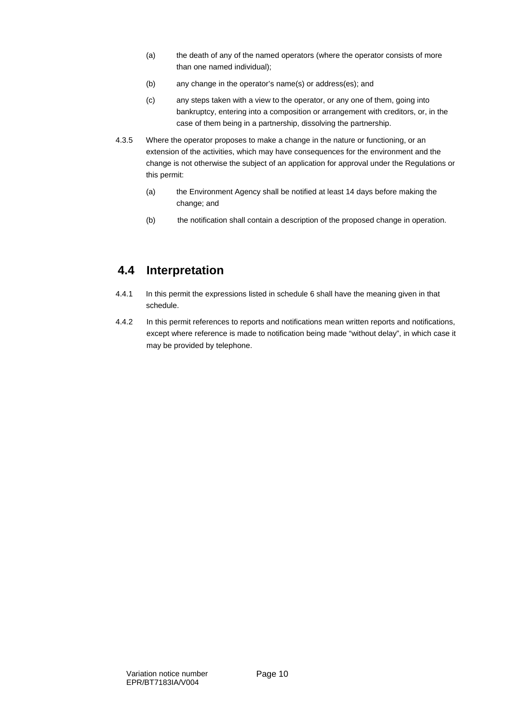- (a) the death of any of the named operators (where the operator consists of more than one named individual);
- (b) any change in the operator's name(s) or address(es); and
- (c) any steps taken with a view to the operator, or any one of them, going into bankruptcy, entering into a composition or arrangement with creditors, or, in the case of them being in a partnership, dissolving the partnership.
- 4.3.5 Where the operator proposes to make a change in the nature or functioning, or an extension of the activities, which may have consequences for the environment and the change is not otherwise the subject of an application for approval under the Regulations or this permit:
	- (a) the Environment Agency shall be notified at least 14 days before making the change; and
	- (b) the notification shall contain a description of the proposed change in operation.

### **4.4 Interpretation**

- 4.4.1 In this permit the expressions listed in schedule 6 shall have the meaning given in that schedule.
- 4.4.2 In this permit references to reports and notifications mean written reports and notifications, except where reference is made to notification being made "without delay", in which case it may be provided by telephone.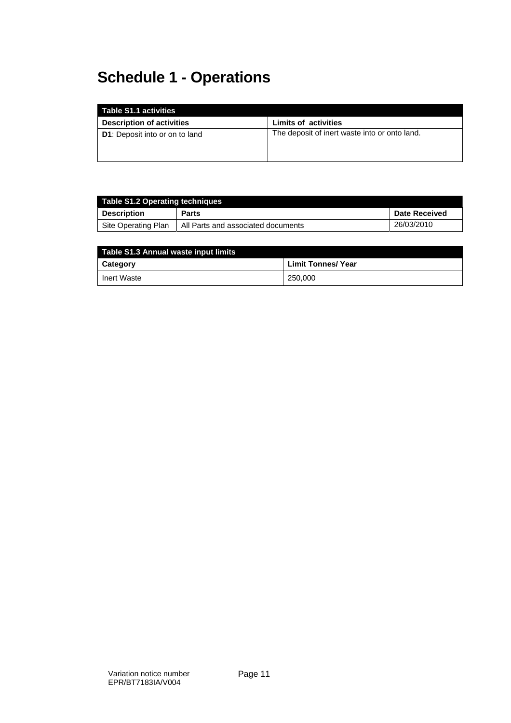# **Schedule 1 - Operations**

| Table S1.1 activities                 |                                               |
|---------------------------------------|-----------------------------------------------|
| <b>Description of activities</b>      | <b>Limits of activities</b>                   |
| <b>D1:</b> Deposit into or on to land | The deposit of inert waste into or onto land. |

| Table S1.2 Operating techniques |                                    |                      |  |
|---------------------------------|------------------------------------|----------------------|--|
| <b>Description</b>              | <b>Parts</b>                       | <b>Date Received</b> |  |
| Site Operating Plan             | All Parts and associated documents | 26/03/2010           |  |

| Table S1.3 Annual waste input limits |                    |  |  |
|--------------------------------------|--------------------|--|--|
| Category                             | Limit Tonnes/ Year |  |  |
| Inert Waste                          | 250,000            |  |  |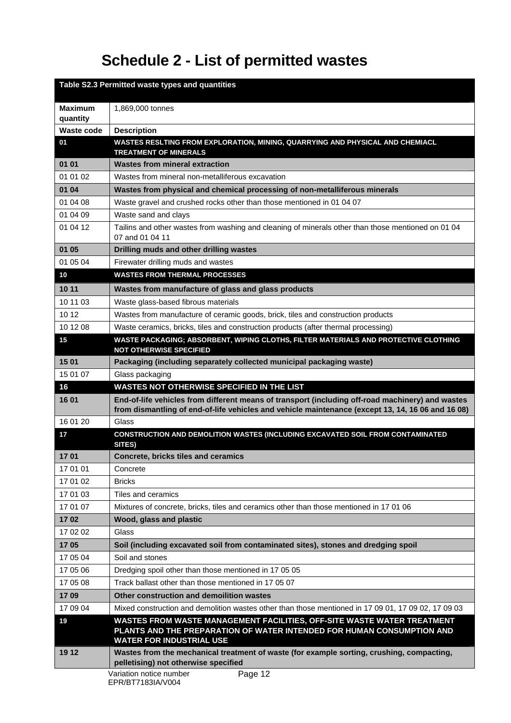# **Schedule 2 - List of permitted wastes**

|                            | Table S2.3 Permitted waste types and quantities                                                                                                                                                       |
|----------------------------|-------------------------------------------------------------------------------------------------------------------------------------------------------------------------------------------------------|
| <b>Maximum</b><br>quantity | 1,869,000 tonnes                                                                                                                                                                                      |
| Waste code                 | <b>Description</b>                                                                                                                                                                                    |
| 01                         | WASTES RESLTING FROM EXPLORATION, MINING, QUARRYING AND PHYSICAL AND CHEMIACL<br><b>TREATMENT OF MINERALS</b>                                                                                         |
| 01 01                      | <b>Wastes from mineral extraction</b>                                                                                                                                                                 |
| 01 01 02                   | Wastes from mineral non-metalliferous excavation                                                                                                                                                      |
| 01 04                      | Wastes from physical and chemical processing of non-metalliferous minerals                                                                                                                            |
| 01 04 08                   | Waste gravel and crushed rocks other than those mentioned in 01 04 07                                                                                                                                 |
| 01 04 09                   | Waste sand and clays                                                                                                                                                                                  |
| 01 04 12                   | Tailins and other wastes from washing and cleaning of minerals other than those mentioned on 01 04<br>07 and 01 04 11                                                                                 |
| 01 05                      | Drilling muds and other drilling wastes                                                                                                                                                               |
| 01 05 04                   | Firewater drilling muds and wastes                                                                                                                                                                    |
| 10                         | <b>WASTES FROM THERMAL PROCESSES</b>                                                                                                                                                                  |
| 10 11                      | Wastes from manufacture of glass and glass products                                                                                                                                                   |
| 10 11 03                   | Waste glass-based fibrous materials                                                                                                                                                                   |
| 10 12                      | Wastes from manufacture of ceramic goods, brick, tiles and construction products                                                                                                                      |
| 10 12 08                   | Waste ceramics, bricks, tiles and construction products (after thermal processing)                                                                                                                    |
| 15                         | WASTE PACKAGING; ABSORBENT, WIPING CLOTHS, FILTER MATERIALS AND PROTECTIVE CLOTHING<br><b>NOT OTHERWISE SPECIFIED</b>                                                                                 |
| 15 01                      | Packaging (including separately collected municipal packaging waste)                                                                                                                                  |
| 15 01 07                   | Glass packaging                                                                                                                                                                                       |
| 16                         | WASTES NOT OTHERWISE SPECIFIED IN THE LIST                                                                                                                                                            |
| 16 01                      | End-of-life vehicles from different means of transport (including off-road machinery) and wastes<br>from dismantling of end-of-life vehicles and vehicle maintenance (except 13, 14, 16 06 and 16 08) |
| 16 01 20                   | Glass                                                                                                                                                                                                 |
| 17                         | CONSTRUCTION AND DEMOLITION WASTES (INCLUDING EXCAVATED SOIL FROM CONTAMINATED<br>SITES)                                                                                                              |
| 1701                       | <b>Concrete, bricks tiles and ceramics</b>                                                                                                                                                            |
| 17 01 01                   | Concrete                                                                                                                                                                                              |
| 17 01 02                   | <b>Bricks</b>                                                                                                                                                                                         |
| 17 01 03                   | Tiles and ceramics                                                                                                                                                                                    |
| 17 01 07                   | Mixtures of concrete, bricks, tiles and ceramics other than those mentioned in 17 01 06                                                                                                               |
| 1702                       | Wood, glass and plastic                                                                                                                                                                               |
| 17 02 02                   | Glass                                                                                                                                                                                                 |
| 1705                       | Soil (including excavated soil from contaminated sites), stones and dredging spoil                                                                                                                    |
| 17 05 04                   | Soil and stones                                                                                                                                                                                       |
| 17 05 06                   | Dredging spoil other than those mentioned in 17 05 05                                                                                                                                                 |
| 17 05 08                   | Track ballast other than those mentioned in 17 05 07                                                                                                                                                  |
| 1709                       | Other construction and demoilition wastes                                                                                                                                                             |
| 17 09 04                   | Mixed construction and demolition wastes other than those mentioned in 17 09 01, 17 09 02, 17 09 03                                                                                                   |
| 19                         | WASTES FROM WASTE MANAGEMENT FACILITIES, OFF-SITE WASTE WATER TREATMENT<br>PLANTS AND THE PREPARATION OF WATER INTENDED FOR HUMAN CONSUMPTION AND<br><b>WATER FOR INDUSTRIAL USE</b>                  |
| 19 12                      | Wastes from the mechanical treatment of waste (for example sorting, crushing, compacting,<br>pelletising) not otherwise specified                                                                     |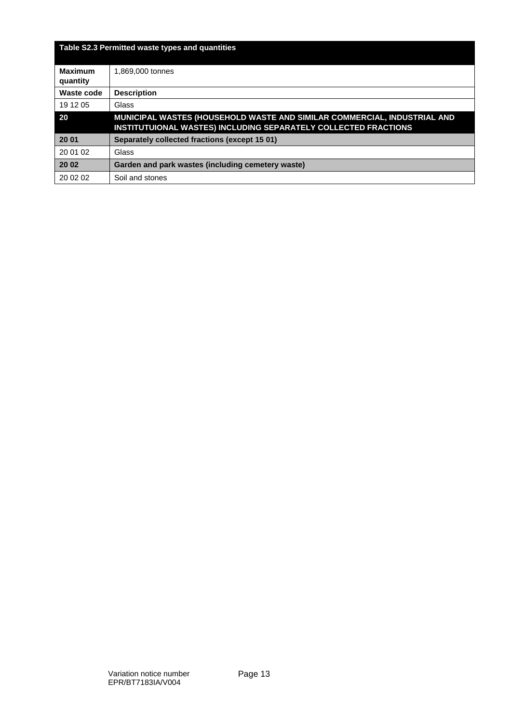|                            | Table S2.3 Permitted waste types and quantities                                                                                             |
|----------------------------|---------------------------------------------------------------------------------------------------------------------------------------------|
| <b>Maximum</b><br>quantity | 1.869.000 tonnes                                                                                                                            |
| Waste code                 | <b>Description</b>                                                                                                                          |
| 19 12 05                   | Glass                                                                                                                                       |
| 20                         | MUNICIPAL WASTES (HOUSEHOLD WASTE AND SIMILAR COMMERCIAL, INDUSTRIAL AND<br>INSTITUTUIONAL WASTES) INCLUDING SEPARATELY COLLECTED FRACTIONS |
| 20 01                      | Separately collected fractions (except 15 01)                                                                                               |
| 20 01 02                   | Glass                                                                                                                                       |
| 20 02                      | Garden and park wastes (including cemetery waste)                                                                                           |
| 20 02 02                   | Soil and stones                                                                                                                             |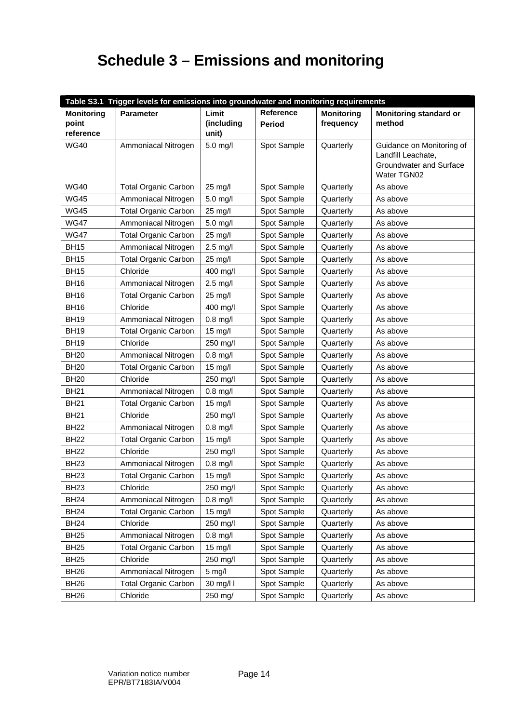# **Schedule 3 – Emissions and monitoring**

| Table S3.1 Trigger levels for emissions into groundwater and monitoring requirements |                             |                   |             |                   |                                                 |
|--------------------------------------------------------------------------------------|-----------------------------|-------------------|-------------|-------------------|-------------------------------------------------|
| <b>Monitoring</b>                                                                    | <b>Parameter</b>            | Limit             | Reference   | <b>Monitoring</b> | <b>Monitoring standard or</b>                   |
| point                                                                                |                             | (including        | Period      | frequency         | method                                          |
| reference                                                                            |                             | unit)             |             |                   |                                                 |
| <b>WG40</b>                                                                          | Ammoniacal Nitrogen         | 5.0 mg/l          | Spot Sample | Quarterly         | Guidance on Monitoring of<br>Landfill Leachate, |
|                                                                                      |                             |                   |             |                   | Groundwater and Surface                         |
|                                                                                      |                             |                   |             |                   | Water TGN02                                     |
| <b>WG40</b>                                                                          | <b>Total Organic Carbon</b> | 25 mg/l           | Spot Sample | Quarterly         | As above                                        |
| <b>WG45</b>                                                                          | Ammoniacal Nitrogen         | $5.0$ mg/l        | Spot Sample | Quarterly         | As above                                        |
| <b>WG45</b>                                                                          | <b>Total Organic Carbon</b> | 25 mg/l           | Spot Sample | Quarterly         | As above                                        |
| <b>WG47</b>                                                                          | Ammoniacal Nitrogen         | 5.0 mg/l          | Spot Sample | Quarterly         | As above                                        |
| <b>WG47</b>                                                                          | <b>Total Organic Carbon</b> | 25 mg/l           | Spot Sample | Quarterly         | As above                                        |
| <b>BH15</b>                                                                          | Ammoniacal Nitrogen         | $2.5$ mg/l        | Spot Sample | Quarterly         | As above                                        |
| <b>BH15</b>                                                                          | <b>Total Organic Carbon</b> | 25 mg/l           | Spot Sample | Quarterly         | As above                                        |
| <b>BH15</b>                                                                          | Chloride                    | 400 mg/l          | Spot Sample | Quarterly         | As above                                        |
| <b>BH16</b>                                                                          | Ammoniacal Nitrogen         | $2.5$ mg/l        | Spot Sample | Quarterly         | As above                                        |
| <b>BH16</b>                                                                          | <b>Total Organic Carbon</b> | 25 mg/l           | Spot Sample | Quarterly         | As above                                        |
| <b>BH16</b>                                                                          | Chloride                    | 400 mg/l          | Spot Sample | Quarterly         | As above                                        |
| <b>BH19</b>                                                                          | Ammoniacal Nitrogen         | $0.8$ mg/l        | Spot Sample | Quarterly         | As above                                        |
| <b>BH19</b>                                                                          | <b>Total Organic Carbon</b> | 15 mg/l           | Spot Sample | Quarterly         | As above                                        |
| <b>BH19</b>                                                                          | Chloride                    | 250 mg/l          | Spot Sample | Quarterly         | As above                                        |
| <b>BH20</b>                                                                          | Ammoniacal Nitrogen         | $0.8$ mg/l        | Spot Sample | Quarterly         | As above                                        |
| <b>BH20</b>                                                                          | <b>Total Organic Carbon</b> | 15 mg/l           | Spot Sample | Quarterly         | As above                                        |
| <b>BH20</b>                                                                          | Chloride                    | 250 mg/l          | Spot Sample | Quarterly         | As above                                        |
| <b>BH21</b>                                                                          | Ammoniacal Nitrogen         | $0.8$ mg/l        | Spot Sample | Quarterly         | As above                                        |
| <b>BH21</b>                                                                          | <b>Total Organic Carbon</b> | 15 mg/l           | Spot Sample | Quarterly         | As above                                        |
| <b>BH21</b>                                                                          | Chloride                    | 250 mg/l          | Spot Sample | Quarterly         | As above                                        |
| <b>BH22</b>                                                                          | Ammoniacal Nitrogen         | $0.8$ mg/l        | Spot Sample | Quarterly         | As above                                        |
| <b>BH22</b>                                                                          | <b>Total Organic Carbon</b> | 15 mg/l           | Spot Sample | Quarterly         | As above                                        |
| <b>BH22</b>                                                                          | Chloride                    | 250 mg/l          | Spot Sample | Quarterly         | As above                                        |
| <b>BH23</b>                                                                          | Ammoniacal Nitrogen         | $0.8$ mg/l        | Spot Sample | Quarterly         | As above                                        |
| <b>BH23</b>                                                                          | <b>Total Organic Carbon</b> | $15 \text{ mg/l}$ | Spot Sample | Quarterly         | As above                                        |
| <b>BH23</b>                                                                          | Chloride                    | 250 mg/l          | Spot Sample | Quarterly         | As above                                        |
| <b>BH24</b>                                                                          | Ammoniacal Nitrogen         | $0.8$ mg/l        | Spot Sample | Quarterly         | As above                                        |
| <b>BH24</b>                                                                          | <b>Total Organic Carbon</b> | 15 mg/l           | Spot Sample | Quarterly         | As above                                        |
| <b>BH24</b>                                                                          | Chloride                    | 250 mg/l          | Spot Sample | Quarterly         | As above                                        |
| <b>BH25</b>                                                                          | Ammoniacal Nitrogen         | $0.8$ mg/l        | Spot Sample | Quarterly         | As above                                        |
| <b>BH25</b>                                                                          | <b>Total Organic Carbon</b> | 15 mg/l           | Spot Sample | Quarterly         | As above                                        |
| <b>BH25</b>                                                                          | Chloride                    | 250 mg/l          | Spot Sample | Quarterly         | As above                                        |
| BH <sub>26</sub>                                                                     | Ammoniacal Nitrogen         | $5$ mg/l          | Spot Sample | Quarterly         | As above                                        |
| BH <sub>26</sub>                                                                     | <b>Total Organic Carbon</b> | 30 mg/l l         | Spot Sample | Quarterly         | As above                                        |
| <b>BH26</b>                                                                          | Chloride                    | 250 mg/           | Spot Sample | Quarterly         | As above                                        |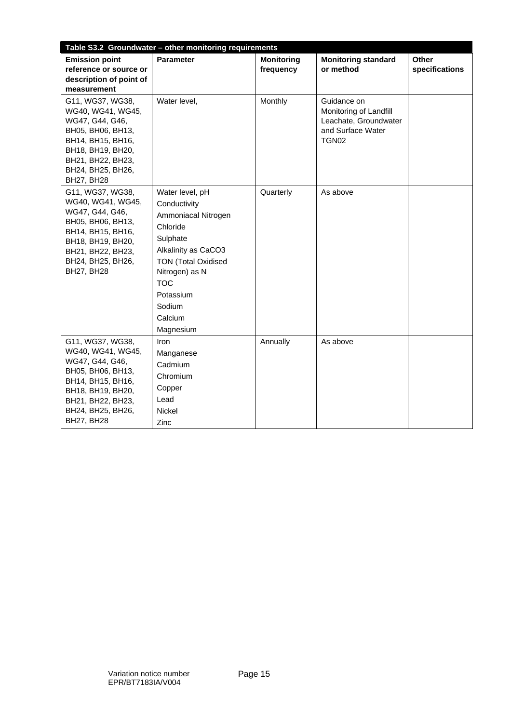| Table S3.2 Groundwater - other monitoring requirements                                                                                                                                 |                                                                                                                                                                                                                    |                                |                                                                                                          |                         |  |
|----------------------------------------------------------------------------------------------------------------------------------------------------------------------------------------|--------------------------------------------------------------------------------------------------------------------------------------------------------------------------------------------------------------------|--------------------------------|----------------------------------------------------------------------------------------------------------|-------------------------|--|
| <b>Emission point</b><br>reference or source or<br>description of point of<br>measurement                                                                                              | <b>Parameter</b>                                                                                                                                                                                                   | <b>Monitoring</b><br>frequency | <b>Monitoring standard</b><br>or method                                                                  | Other<br>specifications |  |
| G11, WG37, WG38,<br>WG40, WG41, WG45,<br>WG47, G44, G46,<br>BH05, BH06, BH13,<br>BH14, BH15, BH16,<br>BH18, BH19, BH20,<br>BH21, BH22, BH23,<br>BH24, BH25, BH26,<br><b>BH27, BH28</b> | Water level,                                                                                                                                                                                                       | Monthly                        | Guidance on<br>Monitoring of Landfill<br>Leachate, Groundwater<br>and Surface Water<br>TGN <sub>02</sub> |                         |  |
| G11, WG37, WG38,<br>WG40, WG41, WG45,<br>WG47, G44, G46,<br>BH05, BH06, BH13,<br>BH14, BH15, BH16,<br>BH18, BH19, BH20,<br>BH21, BH22, BH23,<br>BH24, BH25, BH26,<br><b>BH27, BH28</b> | Water level, pH<br>Conductivity<br>Ammoniacal Nitrogen<br>Chloride<br>Sulphate<br>Alkalinity as CaCO3<br><b>TON (Total Oxidised</b><br>Nitrogen) as N<br><b>TOC</b><br>Potassium<br>Sodium<br>Calcium<br>Magnesium | Quarterly                      | As above                                                                                                 |                         |  |
| G11, WG37, WG38,<br>WG40, WG41, WG45,<br>WG47, G44, G46,<br>BH05, BH06, BH13,<br>BH14, BH15, BH16,<br>BH18, BH19, BH20,<br>BH21, BH22, BH23,<br>BH24, BH25, BH26,<br><b>BH27, BH28</b> | Iron<br>Manganese<br>Cadmium<br>Chromium<br>Copper<br>Lead<br><b>Nickel</b><br>Zinc                                                                                                                                | Annually                       | As above                                                                                                 |                         |  |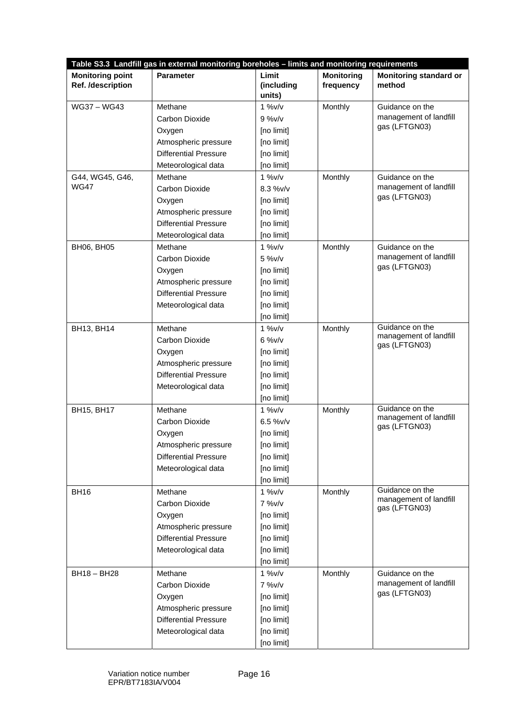| Table S3.3 Landfill gas in external monitoring boreholes - limits and monitoring requirements |                              |                               |                                |                                           |  |
|-----------------------------------------------------------------------------------------------|------------------------------|-------------------------------|--------------------------------|-------------------------------------------|--|
| <b>Monitoring point</b><br>Ref. /description                                                  | <b>Parameter</b>             | Limit<br>(including<br>units) | <b>Monitoring</b><br>frequency | <b>Monitoring standard or</b><br>method   |  |
| WG37 - WG43                                                                                   | Methane                      | $1\%V/v$                      | Monthly                        | Guidance on the                           |  |
|                                                                                               | Carbon Dioxide               | $9\%V/v$                      |                                | management of landfill                    |  |
|                                                                                               | Oxygen                       | [no limit]                    |                                | gas (LFTGN03)                             |  |
|                                                                                               | Atmospheric pressure         | [no limit]                    |                                |                                           |  |
|                                                                                               | <b>Differential Pressure</b> | [no limit]                    |                                |                                           |  |
|                                                                                               | Meteorological data          | [no limit]                    |                                |                                           |  |
| G44, WG45, G46,                                                                               | Methane                      | $1\%V/v$                      | Monthly                        | Guidance on the                           |  |
| <b>WG47</b>                                                                                   | Carbon Dioxide               | $8.3 %$ v/v                   |                                | management of landfill                    |  |
|                                                                                               | Oxygen                       | [no limit]                    |                                | gas (LFTGN03)                             |  |
|                                                                                               | Atmospheric pressure         | [no limit]                    |                                |                                           |  |
|                                                                                               | <b>Differential Pressure</b> | [no limit]                    |                                |                                           |  |
|                                                                                               | Meteorological data          | [no limit]                    |                                |                                           |  |
| <b>BH06, BH05</b>                                                                             | Methane                      | $1\%V/v$                      | Monthly                        | Guidance on the                           |  |
|                                                                                               | Carbon Dioxide               | $5\%V/v$                      |                                | management of landfill                    |  |
|                                                                                               | Oxygen                       | [no limit]                    |                                | gas (LFTGN03)                             |  |
|                                                                                               | Atmospheric pressure         | [no limit]                    |                                |                                           |  |
|                                                                                               | <b>Differential Pressure</b> | [no limit]                    |                                |                                           |  |
|                                                                                               | Meteorological data          | [no limit]                    |                                |                                           |  |
|                                                                                               |                              | [no limit]                    |                                |                                           |  |
| BH13, BH14                                                                                    | Methane                      | $1\%V/v$                      | Monthly                        | Guidance on the                           |  |
|                                                                                               | Carbon Dioxide               | $6\%V/v$                      |                                | management of landfill<br>gas (LFTGN03)   |  |
|                                                                                               | Oxygen                       | [no limit]                    |                                |                                           |  |
|                                                                                               | Atmospheric pressure         | [no limit]                    |                                |                                           |  |
|                                                                                               | <b>Differential Pressure</b> | [no limit]                    |                                |                                           |  |
|                                                                                               | Meteorological data          | [no limit]                    |                                |                                           |  |
|                                                                                               |                              | [no limit]                    |                                |                                           |  |
| BH15, BH17                                                                                    | Methane                      | $1\%V/v$                      | Monthly                        | Guidance on the                           |  |
|                                                                                               | Carbon Dioxide               | $6.5 %$ W/v                   |                                | management of landfill<br>gas (LFTGN03)   |  |
|                                                                                               | Oxygen                       | [no limit]                    |                                |                                           |  |
|                                                                                               | Atmospheric pressure         | [no limit]                    |                                |                                           |  |
|                                                                                               | <b>Differential Pressure</b> | [no limit]                    |                                |                                           |  |
|                                                                                               | Meteorological data          | [no limit]                    |                                |                                           |  |
|                                                                                               |                              | [no limit]                    |                                |                                           |  |
| <b>BH16</b>                                                                                   | Methane                      | $1\%V/v$                      | Monthly                        | Guidance on the<br>management of landfill |  |
|                                                                                               | Carbon Dioxide               | 7%v/v                         |                                | gas (LFTGN03)                             |  |
|                                                                                               | Oxygen                       | [no limit]                    |                                |                                           |  |
|                                                                                               | Atmospheric pressure         | [no limit]                    |                                |                                           |  |
|                                                                                               | <b>Differential Pressure</b> | [no limit]                    |                                |                                           |  |
|                                                                                               | Meteorological data          | [no limit]                    |                                |                                           |  |
|                                                                                               |                              | [no limit]                    |                                |                                           |  |
| BH18 - BH28                                                                                   | Methane                      | $1\%V/v$                      | Monthly                        | Guidance on the                           |  |
|                                                                                               | Carbon Dioxide               | 7%v/v                         |                                | management of landfill<br>gas (LFTGN03)   |  |
|                                                                                               | Oxygen                       | [no limit]                    |                                |                                           |  |
|                                                                                               | Atmospheric pressure         | [no limit]                    |                                |                                           |  |
|                                                                                               | <b>Differential Pressure</b> | [no limit]                    |                                |                                           |  |
|                                                                                               | Meteorological data          | [no limit]                    |                                |                                           |  |
|                                                                                               |                              | [no limit]                    |                                |                                           |  |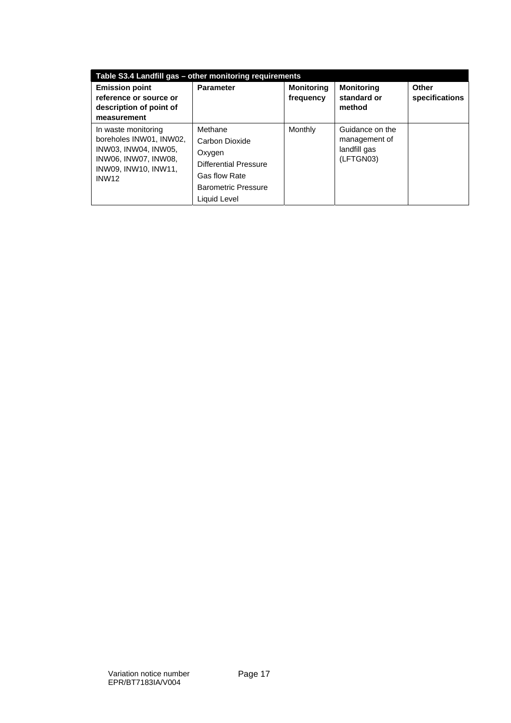| Table S3.4 Landfill gas - other monitoring requirements                                                                                |                                                                                                                                           |                                |                                                               |                         |  |  |
|----------------------------------------------------------------------------------------------------------------------------------------|-------------------------------------------------------------------------------------------------------------------------------------------|--------------------------------|---------------------------------------------------------------|-------------------------|--|--|
| <b>Emission point</b><br>reference or source or<br>description of point of<br>measurement                                              | <b>Parameter</b>                                                                                                                          | <b>Monitoring</b><br>frequency | <b>Monitoring</b><br>standard or<br>method                    | Other<br>specifications |  |  |
| In waste monitoring<br>boreholes INW01, INW02,<br>INW03, INW04, INW05,<br>INW06. INW07. INW08.<br>INW09. INW10. INW11.<br><b>INW12</b> | Methane<br>Carbon Dioxide<br>Oxygen<br><b>Differential Pressure</b><br><b>Gas flow Rate</b><br><b>Barometric Pressure</b><br>Liquid Level | Monthly                        | Guidance on the<br>management of<br>landfill gas<br>(LFTGN03) |                         |  |  |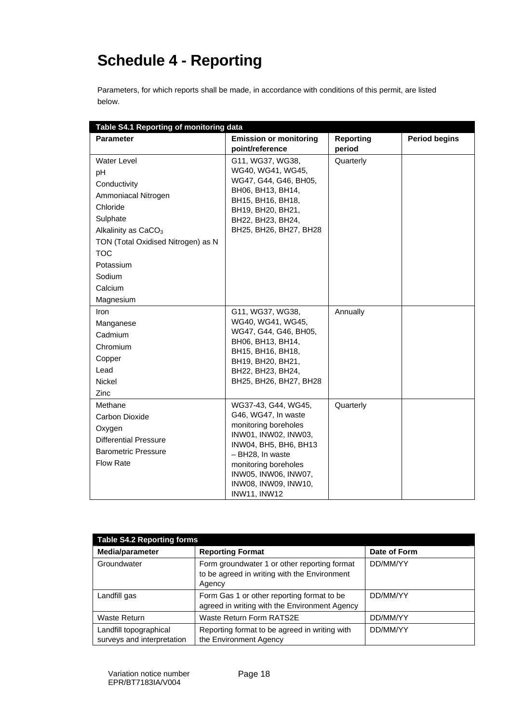# **Schedule 4 - Reporting**

Parameters, for which reports shall be made, in accordance with conditions of this permit, are listed below.

| Table S4.1 Reporting of monitoring data |                                                  |                            |                      |  |  |
|-----------------------------------------|--------------------------------------------------|----------------------------|----------------------|--|--|
| <b>Parameter</b>                        | <b>Emission or monitoring</b><br>point/reference | <b>Reporting</b><br>period | <b>Period begins</b> |  |  |
| <b>Water Level</b>                      | G11, WG37, WG38,                                 | Quarterly                  |                      |  |  |
| pH                                      | WG40, WG41, WG45,                                |                            |                      |  |  |
| Conductivity                            | WG47, G44, G46, BH05,                            |                            |                      |  |  |
| Ammoniacal Nitrogen                     | BH06, BH13, BH14,                                |                            |                      |  |  |
| Chloride                                | BH15, BH16, BH18,<br>BH19, BH20, BH21,           |                            |                      |  |  |
| Sulphate                                | BH22, BH23, BH24,                                |                            |                      |  |  |
| Alkalinity as CaCO <sub>3</sub>         | BH25, BH26, BH27, BH28                           |                            |                      |  |  |
| TON (Total Oxidised Nitrogen) as N      |                                                  |                            |                      |  |  |
| <b>TOC</b>                              |                                                  |                            |                      |  |  |
| Potassium                               |                                                  |                            |                      |  |  |
| Sodium                                  |                                                  |                            |                      |  |  |
| Calcium                                 |                                                  |                            |                      |  |  |
| Magnesium                               |                                                  |                            |                      |  |  |
| Iron                                    | G11, WG37, WG38,                                 | Annually                   |                      |  |  |
| Manganese                               | WG40, WG41, WG45,                                |                            |                      |  |  |
| Cadmium                                 | WG47, G44, G46, BH05,                            |                            |                      |  |  |
| Chromium                                | BH06, BH13, BH14,<br>BH15, BH16, BH18,           |                            |                      |  |  |
| Copper                                  | BH19, BH20, BH21,                                |                            |                      |  |  |
| Lead                                    | BH22, BH23, BH24,                                |                            |                      |  |  |
| <b>Nickel</b>                           | BH25, BH26, BH27, BH28                           |                            |                      |  |  |
| Zinc                                    |                                                  |                            |                      |  |  |
| Methane                                 | WG37-43, G44, WG45,                              | Quarterly                  |                      |  |  |
| Carbon Dioxide                          | G46, WG47, In waste                              |                            |                      |  |  |
| Oxygen                                  | monitoring boreholes<br>INW01, INW02, INW03,     |                            |                      |  |  |
| <b>Differential Pressure</b>            | INW04, BH5, BH6, BH13                            |                            |                      |  |  |
| <b>Barometric Pressure</b>              | - BH28, In waste                                 |                            |                      |  |  |
| <b>Flow Rate</b>                        | monitoring boreholes                             |                            |                      |  |  |
|                                         | INW05, INW06, INW07,                             |                            |                      |  |  |
|                                         | INW08, INW09, INW10,                             |                            |                      |  |  |
|                                         | <b>INW11, INW12</b>                              |                            |                      |  |  |

| <b>Table S4.2 Reporting forms</b>                    |                                                                                                        |              |  |  |
|------------------------------------------------------|--------------------------------------------------------------------------------------------------------|--------------|--|--|
| Media/parameter                                      | <b>Reporting Format</b>                                                                                | Date of Form |  |  |
| Groundwater                                          | Form groundwater 1 or other reporting format<br>to be agreed in writing with the Environment<br>Agency | DD/MM/YY     |  |  |
| Landfill gas                                         | Form Gas 1 or other reporting format to be<br>agreed in writing with the Environment Agency            | DD/MM/YY     |  |  |
| <b>Waste Return</b>                                  | Waste Return Form RATS2E                                                                               | DD/MM/YY     |  |  |
| Landfill topographical<br>surveys and interpretation | Reporting format to be agreed in writing with<br>the Environment Agency                                | DD/MM/YY     |  |  |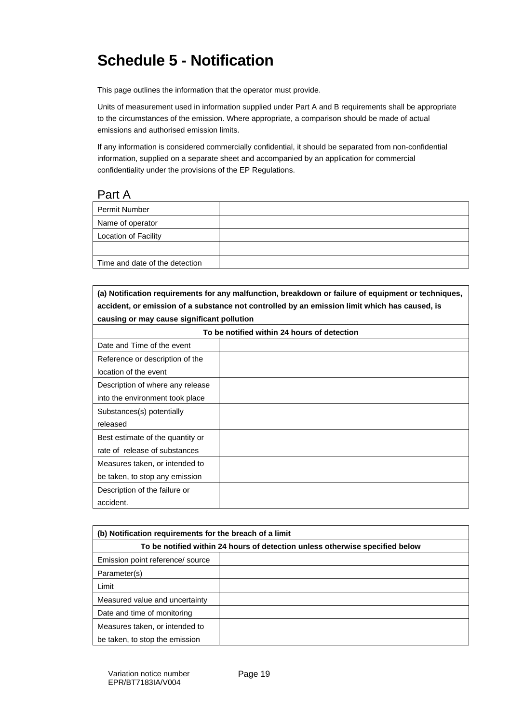# **Schedule 5 - Notification**

This page outlines the information that the operator must provide.

Units of measurement used in information supplied under Part A and B requirements shall be appropriate to the circumstances of the emission. Where appropriate, a comparison should be made of actual emissions and authorised emission limits.

If any information is considered commercially confidential, it should be separated from non-confidential information, supplied on a separate sheet and accompanied by an application for commercial confidentiality under the provisions of the EP Regulations.

#### Part A

| <b>Permit Number</b>           |  |
|--------------------------------|--|
| Name of operator               |  |
| <b>Location of Facility</b>    |  |
|                                |  |
| Time and date of the detection |  |

#### **(a) Notification requirements for any malfunction, breakdown or failure of equipment or techniques, accident, or emission of a substance not controlled by an emission limit which has caused, is causing or may cause significant pollution**

| To be notified within 24 hours of detection |  |  |  |  |
|---------------------------------------------|--|--|--|--|
| Date and Time of the event                  |  |  |  |  |
| Reference or description of the             |  |  |  |  |
| location of the event                       |  |  |  |  |
| Description of where any release            |  |  |  |  |
| into the environment took place             |  |  |  |  |
| Substances(s) potentially                   |  |  |  |  |
| released                                    |  |  |  |  |
| Best estimate of the quantity or            |  |  |  |  |
| rate of release of substances               |  |  |  |  |
| Measures taken, or intended to              |  |  |  |  |
| be taken, to stop any emission              |  |  |  |  |
| Description of the failure or               |  |  |  |  |
| accident.                                   |  |  |  |  |

| (b) Notification requirements for the breach of a limit                      |  |  |  |
|------------------------------------------------------------------------------|--|--|--|
| To be notified within 24 hours of detection unless otherwise specified below |  |  |  |
| Emission point reference/ source                                             |  |  |  |
| Parameter(s)                                                                 |  |  |  |
| Limit                                                                        |  |  |  |
| Measured value and uncertainty                                               |  |  |  |
| Date and time of monitoring                                                  |  |  |  |
| Measures taken, or intended to                                               |  |  |  |
| be taken, to stop the emission                                               |  |  |  |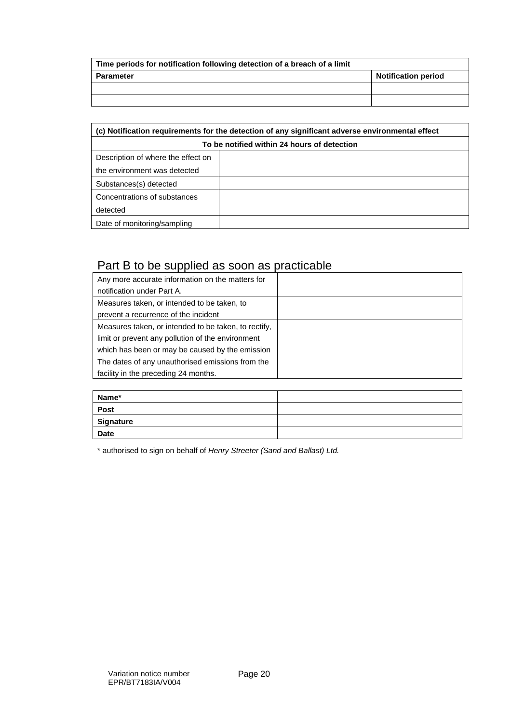| Time periods for notification following detection of a breach of a limit |  |  |  |
|--------------------------------------------------------------------------|--|--|--|
| <b>Notification period</b><br>Parameter                                  |  |  |  |
|                                                                          |  |  |  |
|                                                                          |  |  |  |

| (c) Notification requirements for the detection of any significant adverse environmental effect |  |  |  |  |
|-------------------------------------------------------------------------------------------------|--|--|--|--|
| To be notified within 24 hours of detection                                                     |  |  |  |  |
| Description of where the effect on                                                              |  |  |  |  |
| the environment was detected                                                                    |  |  |  |  |
| Substances(s) detected                                                                          |  |  |  |  |
| Concentrations of substances                                                                    |  |  |  |  |
| detected                                                                                        |  |  |  |  |
| Date of monitoring/sampling                                                                     |  |  |  |  |

## Part B to be supplied as soon as practicable

| Any more accurate information on the matters for     |  |
|------------------------------------------------------|--|
| notification under Part A.                           |  |
| Measures taken, or intended to be taken, to          |  |
| prevent a recurrence of the incident                 |  |
| Measures taken, or intended to be taken, to rectify, |  |
| limit or prevent any pollution of the environment    |  |
| which has been or may be caused by the emission      |  |
| The dates of any unauthorised emissions from the     |  |
| facility in the preceding 24 months.                 |  |

| Name*       |  |
|-------------|--|
| Post        |  |
| Signature   |  |
| <b>Date</b> |  |

\* authorised to sign on behalf of *Henry Streeter (Sand and Ballast) Ltd.*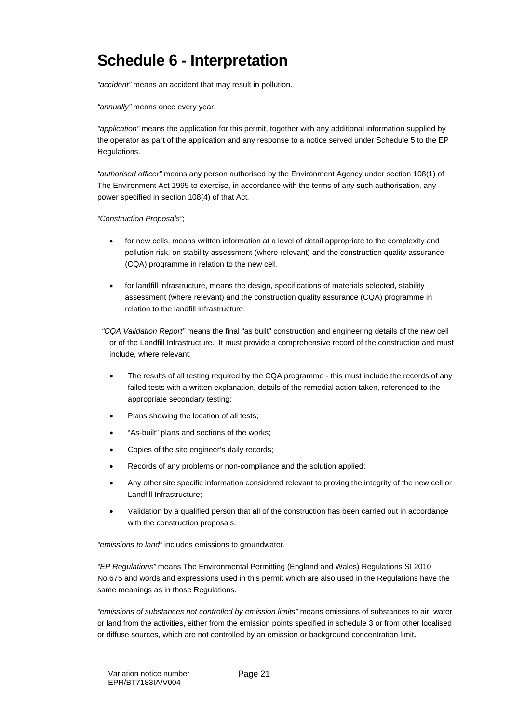# **Schedule 6 - Interpretation**

*"accident"* means an accident that may result in pollution.

*"annually"* means once every year.

*"application"* means the application for this permit, together with any additional information supplied by the operator as part of the application and any response to a notice served under Schedule 5 to the EP Regulations.

*"authorised officer"* means any person authorised by the Environment Agency under section 108(1) of The Environment Act 1995 to exercise, in accordance with the terms of any such authorisation, any power specified in section 108(4) of that Act*.* 

*"Construction Proposals"*;

- for new cells, means written information at a level of detail appropriate to the complexity and pollution risk, on stability assessment (where relevant) and the construction quality assurance (CQA) programme in relation to the new cell.
- for landfill infrastructure, means the design, specifications of materials selected, stability assessment (where relevant) and the construction quality assurance (CQA) programme in relation to the landfill infrastructure.

 *"CQA Validation Report"* means the final "as built" construction and engineering details of the new cell or of the Landfill Infrastructure. It must provide a comprehensive record of the construction and must include, where relevant:

- The results of all testing required by the CQA programme this must include the records of any failed tests with a written explanation, details of the remedial action taken, referenced to the appropriate secondary testing;
- Plans showing the location of all tests;
- "As-built" plans and sections of the works;
- Copies of the site engineer's daily records;
- Records of any problems or non-compliance and the solution applied;
- Any other site specific information considered relevant to proving the integrity of the new cell or Landfill Infrastructure;
- Validation by a qualified person that all of the construction has been carried out in accordance with the construction proposals.

*"emissions to land"* includes emissions to groundwater.

*"EP Regulations"* means The Environmental Permitting (England and Wales) Regulations SI 2010 No.675 and words and expressions used in this permit which are also used in the Regulations have the same meanings as in those Regulations.

*"emissions of substances not controlled by emission limits"* means emissions of substances to air, water or land from the activities, either from the emission points specified in schedule 3 or from other localised or diffuse sources, which are not controlled by an emission or background concentration limit**.**.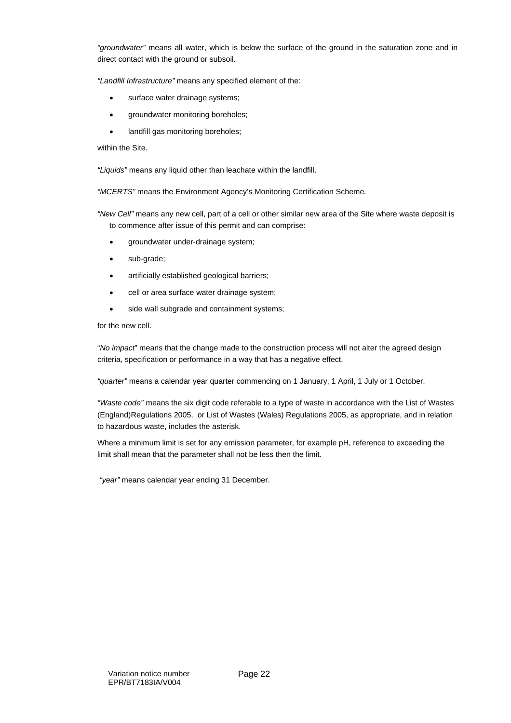*"groundwater"* means all water, which is below the surface of the ground in the saturation zone and in direct contact with the ground or subsoil.

*"Landfill Infrastructure"* means any specified element of the:

- surface water drainage systems;
- groundwater monitoring boreholes;
- landfill gas monitoring boreholes;

within the Site.

*"Liquids"* means any liquid other than leachate within the landfill.

*"MCERTS"* means the Environment Agency's Monitoring Certification Scheme*.* 

*"New Cell"* means any new cell, part of a cell or other similar new area of the Site where waste deposit is to commence after issue of this permit and can comprise:

- groundwater under-drainage system;
- sub-grade;
- artificially established geological barriers;
- cell or area surface water drainage system;
- side wall subgrade and containment systems;

for the new cell.

"*No impact*" means that the change made to the construction process will not alter the agreed design criteria, specification or performance in a way that has a negative effect.

*"quarter"* means a calendar year quarter commencing on 1 January, 1 April, 1 July or 1 October.

*"Waste code"* means the six digit code referable to a type of waste in accordance with the List of Wastes (England)Regulations 2005, or List of Wastes (Wales) Regulations 2005, as appropriate, and in relation to hazardous waste, includes the asterisk.

Where a minimum limit is set for any emission parameter, for example pH, reference to exceeding the limit shall mean that the parameter shall not be less then the limit.

 *"year"* means calendar year ending 31 December.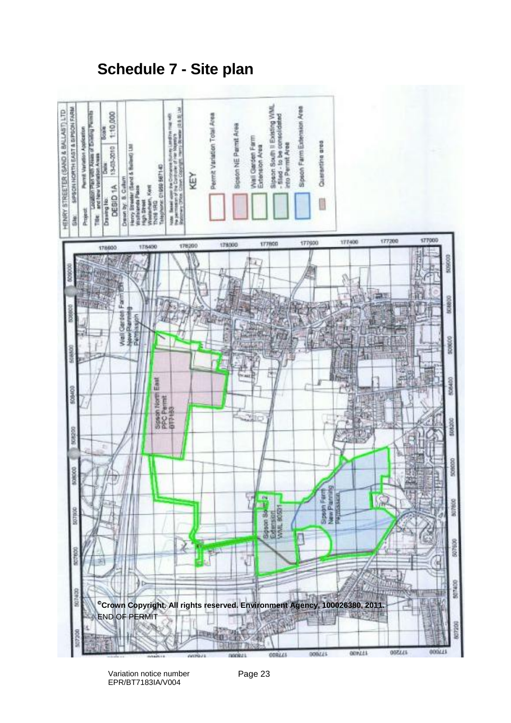**Schedule 7 - Site plan** 



Variation notice number EPR/BT7183IA/V004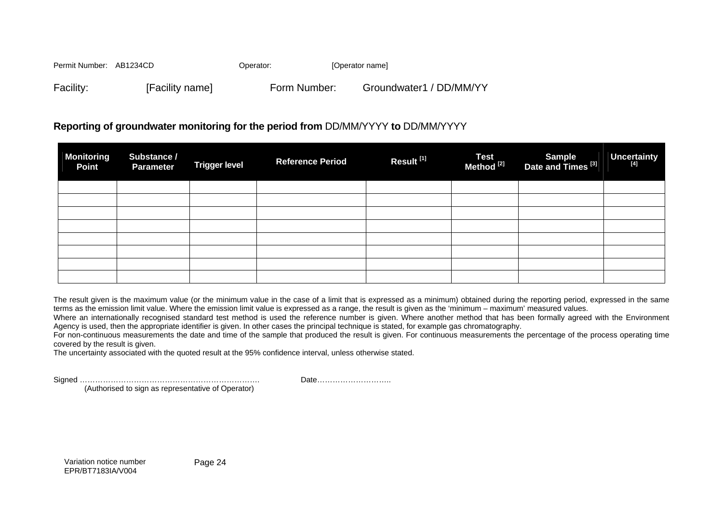Permit Number: AB1234CD Qperator: Qperator: Qperator name] Facility: [Facility name] Form Number: Groundwater1 / DD/MM/YY

#### **Reporting of groundwater monitoring for the period from** DD/MM/YYYY **to** DD/MM/YYYY

| <b>Monitoring</b><br><b>Point</b> | Substance /<br><b>Parameter</b> | <b>Trigger level</b> | <b>Reference Period</b> | Result <sup>[1]</sup> | Test<br>Method <sup>[2]</sup> | Sample<br>Date and Times <sup>[3]</sup> | Uncertainty |
|-----------------------------------|---------------------------------|----------------------|-------------------------|-----------------------|-------------------------------|-----------------------------------------|-------------|
|                                   |                                 |                      |                         |                       |                               |                                         |             |
|                                   |                                 |                      |                         |                       |                               |                                         |             |
|                                   |                                 |                      |                         |                       |                               |                                         |             |
|                                   |                                 |                      |                         |                       |                               |                                         |             |
|                                   |                                 |                      |                         |                       |                               |                                         |             |
|                                   |                                 |                      |                         |                       |                               |                                         |             |
|                                   |                                 |                      |                         |                       |                               |                                         |             |
|                                   |                                 |                      |                         |                       |                               |                                         |             |

The result given is the maximum value (or the minimum value in the case of a limit that is expressed as a minimum) obtained during the reporting period, expressed in the same terms as the emission limit value. Where the emission limit value is expressed as a range, the result is given as the 'minimum – maximum' measured values.

Where an internationally recognised standard test method is used the reference number is given. Where another method that has been formally agreed with the Environment Agency is used, then the appropriate identifier is given. In other cases the principal technique is stated, for example gas chromatography.

For non-continuous measurements the date and time of the sample that produced the result is given. For continuous measurements the percentage of the process operating time covered by the result is given.

The uncertainty associated with the quoted result at the 95% confidence interval, unless otherwise stated.

Signed ……………………………………………………………. Date………………………..

(Authorised to sign as representative of Operator)